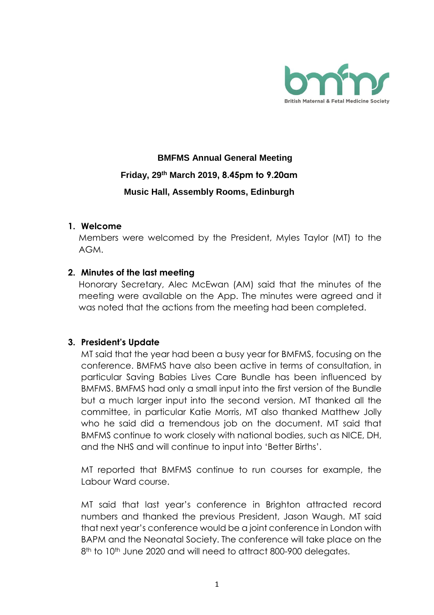

# **BMFMS Annual General Meeting Friday, 29th March 2019, 8.45pm to 9.20am Music Hall, Assembly Rooms, Edinburgh**

### **1. Welcome**

Members were welcomed by the President, Myles Taylor (MT) to the AGM.

### **2. Minutes of the last meeting**

Honorary Secretary, Alec McEwan (AM) said that the minutes of the meeting were available on the App. The minutes were agreed and it was noted that the actions from the meeting had been completed.

### **3. President's Update**

MT said that the year had been a busy year for BMFMS, focusing on the conference. BMFMS have also been active in terms of consultation, in particular Saving Babies Lives Care Bundle has been influenced by BMFMS. BMFMS had only a small input into the first version of the Bundle but a much larger input into the second version. MT thanked all the committee, in particular Katie Morris, MT also thanked Matthew Jolly who he said did a tremendous job on the document. MT said that BMFMS continue to work closely with national bodies, such as NICE, DH, and the NHS and will continue to input into 'Better Births'.

MT reported that BMFMS continue to run courses for example, the Labour Ward course.

MT said that last year's conference in Brighton attracted record numbers and thanked the previous President, Jason Waugh. MT said that next year's conference would be a joint conference in London with BAPM and the Neonatal Society. The conference will take place on the 8<sup>th</sup> to 10<sup>th</sup> June 2020 and will need to attract 800-900 delegates.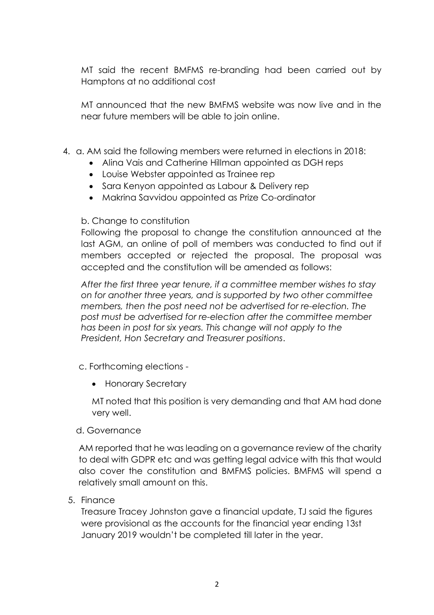MT said the recent BMFMS re-branding had been carried out by Hamptons at no additional cost

MT announced that the new BMFMS website was now live and in the near future members will be able to join online.

- 4. a. AM said the following members were returned in elections in 2018:
	- Alina Vais and Catherine Hillman appointed as DGH reps
	- Louise Webster appointed as Trainee rep
	- Sara Kenyon appointed as Labour & Delivery rep
	- Makrina Savvidou appointed as Prize Co-ordinator

## b. Change to constitution

Following the proposal to change the constitution announced at the last AGM, an online of poll of members was conducted to find out if members accepted or rejected the proposal. The proposal was accepted and the constitution will be amended as follows:

*After the first three year tenure, if a committee member wishes to stay on for another three years, and is supported by two other committee members, then the post need not be advertised for re-election. The post must be advertised for re-election after the committee member has been in post for six years. This change will not apply to the President, Hon Secretary and Treasurer positions*.

- c. Forthcoming elections
	- Honorary Secretary

MT noted that this position is very demanding and that AM had done very well.

### d. Governance

AM reported that he was leading on a governance review of the charity to deal with GDPR etc and was getting legal advice with this that would also cover the constitution and BMFMS policies. BMFMS will spend a relatively small amount on this.

5. Finance

Treasure Tracey Johnston gave a financial update, TJ said the figures were provisional as the accounts for the financial year ending 13st January 2019 wouldn't be completed till later in the year.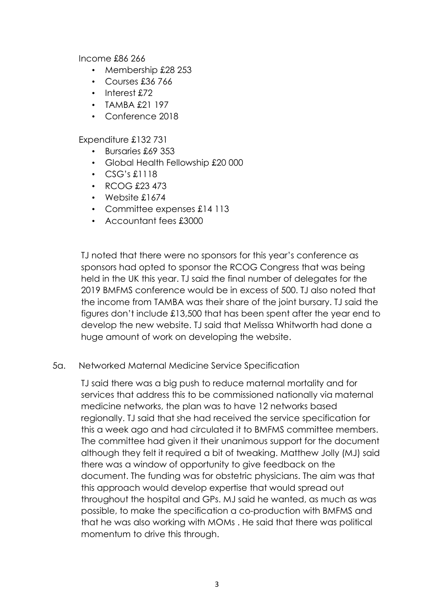Income £86 266

- Membership £28 253
- Courses £36 766
- Interest £72
- TAMBA £21 197
- Conference 2018

Expenditure £132 731

- Bursaries £69 353
- Global Health Fellowship £20 000
- CSG's £1118
- RCOG £23 473
- Website £1674
- Committee expenses £14 113
- Accountant fees £3000

TJ noted that there were no sponsors for this year's conference as sponsors had opted to sponsor the RCOG Congress that was being held in the UK this year. TJ said the final number of delegates for the 2019 BMFMS conference would be in excess of 500. TJ also noted that the income from TAMBA was their share of the joint bursary. TJ said the figures don't include £13,500 that has been spent after the year end to develop the new website. TJ said that Melissa Whitworth had done a huge amount of work on developing the website.

### 5a. Networked Maternal Medicine Service Specification

TJ said there was a big push to reduce maternal mortality and for services that address this to be commissioned nationally via maternal medicine networks, the plan was to have 12 networks based regionally. TJ said that she had received the service specification for this a week ago and had circulated it to BMFMS committee members. The committee had given it their unanimous support for the document although they felt it required a bit of tweaking. Matthew Jolly (MJ) said there was a window of opportunity to give feedback on the document. The funding was for obstetric physicians. The aim was that this approach would develop expertise that would spread out throughout the hospital and GPs. MJ said he wanted, as much as was possible, to make the specification a co-production with BMFMS and that he was also working with MOMs . He said that there was political momentum to drive this through.